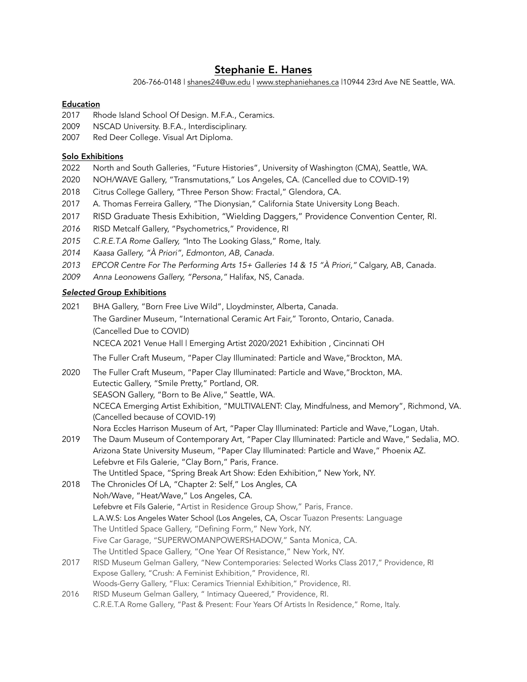# Stephanie E. Hanes

206-766-0148 | [shanes24@uw.edu](mailto:shanes24@uw.edu) | [www.stephaniehanes.ca](http://www.stephaniehanes.ca) |10944 23rd Ave NE Seattle, WA.

# Education

- 2017 Rhode Island School Of Design. M.F.A., Ceramics.
- 2009 NSCAD University. B.F.A., Interdisciplinary.
- 2007 Red Deer College. Visual Art Diploma.

## Solo Exhibitions

- 2022 North and South Galleries, "Future Histories", University of Washington (CMA), Seattle, WA.
- 2020 NOH/WAVE Gallery, "Transmutations," Los Angeles, CA. (Cancelled due to COVID-19)
- 2018 Citrus College Gallery, "Three Person Show: Fractal," Glendora, CA.
- 2017 A. Thomas Ferreira Gallery, "The Dionysian," California State University Long Beach.
- 2017 RISD Graduate Thesis Exhibition, "Wielding Daggers," Providence Convention Center, RI.
- *2016* RISD Metcalf Gallery, "Psychometrics," Providence, RI
- *2015 C.R.E.T.A Rome Gallery, "*Into The Looking Glass," Rome, Italy.
- *2014 Kaasa Gallery, "À Priori", Edmonton, AB, Canada.*
- *2013 EPCOR Centre For The Performing Arts 15+ Galleries 14 & 15 "À Priori,"* Calgary, AB, Canada.
- *2009 Anna Leonowens Gallery, "Persona,"* Halifax, NS, Canada.

### *Selected* Group Exhibitions

- 2021 BHA Gallery, "Born Free Live Wild", Lloydminster, Alberta, Canada. The Gardiner Museum, "International Ceramic Art Fair," Toronto, Ontario, Canada. (Cancelled Due to COVID) NCECA 2021 Venue Hall | Emerging Artist 2020/2021 Exhibition , Cincinnati OH The Fuller Craft Museum, "Paper Clay Illuminated: Particle and Wave,"Brockton, MA. 2020 The Fuller Craft Museum, "Paper Clay Illuminated: Particle and Wave,"Brockton, MA. Eutectic Gallery, "Smile Pretty," Portland, OR. SEASON Gallery, "Born to Be Alive," Seattle, WA. NCECA Emerging Artist Exhibition, "MULTIVALENT: Clay, Mindfulness, and Memory", Richmond, VA. (Cancelled because of COVID-19)
	- Nora Eccles Harrison Museum of Art, "Paper Clay Illuminated: Particle and Wave,"Logan, Utah.
- 2019 The Daum Museum of Contemporary Art, "Paper Clay Illuminated: Particle and Wave," Sedalia, MO. Arizona State University Museum, "Paper Clay Illuminated: Particle and Wave," Phoenix AZ. Lefebvre et Fils Galerie, "Clay Born," Paris, France.
	- The Untitled Space, "Spring Break Art Show: Eden Exhibition," New York, NY.
- 2018 The Chronicles Of LA, "Chapter 2: Self," Los Angles, CA Noh/Wave, "Heat/Wave," Los Angeles, CA. Lefebvre et Fils Galerie, "Artist in Residence Group Show," Paris, France. L.A.W.S: Los Angeles Water School (Los Angeles, CA, Oscar Tuazon Presents: Language The Untitled Space Gallery, "Defining Form," New York, NY. Five Car Garage, "SUPERWOMANPOWERSHADOW," Santa Monica, CA. The Untitled Space Gallery, "One Year Of Resistance," New York, NY.
- 2017 RISD Museum Gelman Gallery, "New Contemporaries: Selected Works Class 2017," Providence, RI Expose Gallery, "Crush: A Feminist Exhibition," Providence, RI. Woods-Gerry Gallery, "Flux: Ceramics Triennial Exhibition," Providence, RI.
- 2016 RISD Museum Gelman Gallery, " Intimacy Queered," Providence, RI. C.R.E.T.A Rome Gallery, "Past & Present: Four Years Of Artists In Residence," Rome, Italy.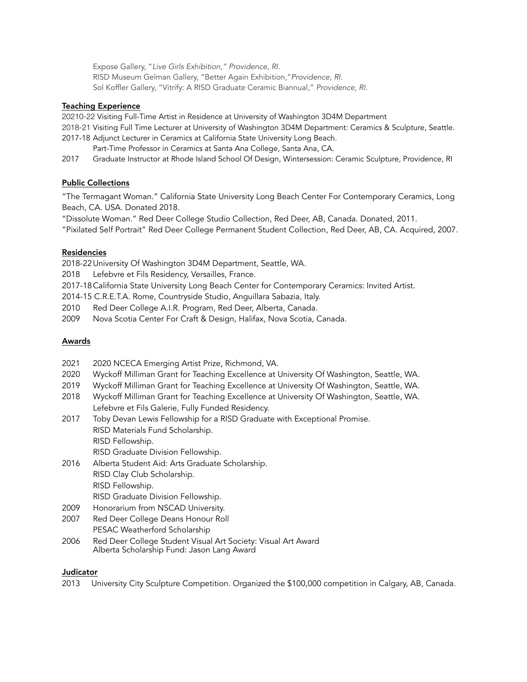Expose Gallery, "*Live Girls Exhibition," Providence, RI.* RISD Museum Gelman Gallery, "Better Again Exhibition,"*Providence, RI.* Sol Koffler Gallery, "Vitrify: A RISD Graduate Ceramic Biannual," *Providence, RI.*

### Teaching Experience

20210-22 Visiting Full-Time Artist in Residence at University of Washington 3D4M Department

2018-21 Visiting Full Time Lecturer at University of Washington 3D4M Department: Ceramics & Sculpture, Seattle. 2017-18 Adjunct Lecturer in Ceramics at California State University Long Beach.

Part-Time Professor in Ceramics at Santa Ana College, Santa Ana, CA.

2017 Graduate Instructor at Rhode Island School Of Design, Wintersession: Ceramic Sculpture, Providence, RI

# Public Collections

"The Termagant Woman." California State University Long Beach Center For Contemporary Ceramics, Long Beach, CA. USA. Donated 2018.

"Dissolute Woman." Red Deer College Studio Collection, Red Deer, AB, Canada. Donated, 2011.

"Pixilated Self Portrait" Red Deer College Permanent Student Collection, Red Deer, AB, CA. Acquired, 2007.

### Residencies

2018-22University Of Washington 3D4M Department, Seattle, WA.

2018 Lefebvre et Fils Residency, Versailles, France.

2017-18California State University Long Beach Center for Contemporary Ceramics: Invited Artist.

2014-15 C.R.E.T.A. Rome, Countryside Studio, Anguillara Sabazia, Italy.

- 2010 Red Deer College A.I.R. Program, Red Deer, Alberta, Canada.
- 2009 Nova Scotia Center For Craft & Design, Halifax, Nova Scotia, Canada.

#### Awards

- 2021 2020 NCECA Emerging Artist Prize, Richmond, VA.
- 2020 Wyckoff Milliman Grant for Teaching Excellence at University Of Washington, Seattle, WA.
- 2019 Wyckoff Milliman Grant for Teaching Excellence at University Of Washington, Seattle, WA.
- 2018 Wyckoff Milliman Grant for Teaching Excellence at University Of Washington, Seattle, WA. Lefebvre et Fils Galerie, Fully Funded Residency.
- 2017 Toby Devan Lewis Fellowship for a RISD Graduate with Exceptional Promise. RISD Materials Fund Scholarship. RISD Fellowship.
	- RISD Graduate Division Fellowship.
- 2016 Alberta Student Aid: Arts Graduate Scholarship. RISD Clay Club Scholarship. RISD Fellowship. RISD Graduate Division Fellowship.
- 2009 Honorarium from NSCAD University.
- 2007 Red Deer College Deans Honour Roll PESAC Weatherford Scholarship
- 2006 Red Deer College Student Visual Art Society: Visual Art Award Alberta Scholarship Fund: Jason Lang Award

#### Judicator

2013 University City Sculpture Competition. Organized the \$100,000 competition in Calgary, AB, Canada.